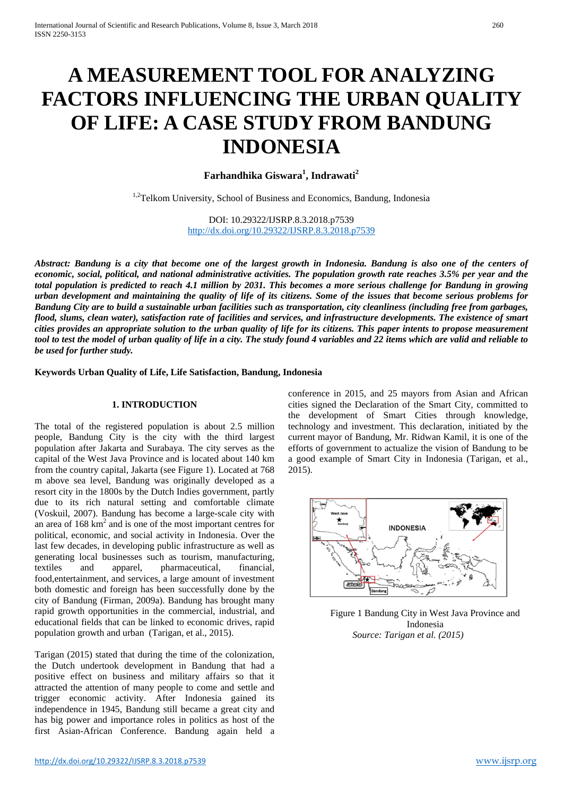# **A MEASUREMENT TOOL FOR ANALYZING FACTORS INFLUENCING THE URBAN QUALITY OF LIFE: A CASE STUDY FROM BANDUNG INDONESIA**

# **Farhandhika Giswara<sup>1</sup> , Indrawati<sup>2</sup>**

<sup>1,2</sup>Telkom University, School of Business and Economics, Bandung, Indonesia

DOI: 10.29322/IJSRP.8.3.2018.p7539 <http://dx.doi.org/10.29322/IJSRP.8.3.2018.p7539>

*Abstract: Bandung is a city that become one of the largest growth in Indonesia. Bandung is also one of the centers of economic, social, political, and national administrative activities. The population growth rate reaches 3.5% per year and the total population is predicted to reach 4.1 million by 2031. This becomes a more serious challenge for Bandung in growing urban development and maintaining the quality of life of its citizens. Some of the issues that become serious problems for Bandung City are to build a sustainable urban facilities such as transportation, city cleanliness (including free from garbages, flood, slums, clean water), satisfaction rate of facilities and services, and infrastructure developments. The existence of smart cities provides an appropriate solution to the urban quality of life for its citizens. This paper intents to propose measurement tool to test the model of urban quality of life in a city. The study found 4 variables and 22 items which are valid and reliable to be used for further study.*

**Keywords Urban Quality of Life, Life Satisfaction, Bandung, Indonesia**

# **1. INTRODUCTION**

The total of the registered population is about 2.5 million people, Bandung City is the city with the third largest population after Jakarta and Surabaya. The city serves as the capital of the West Java Province and is located about 140 km from the country capital, Jakarta (see Figure 1). Located at 768 m above sea level, Bandung was originally developed as a resort city in the 1800s by the Dutch Indies government, partly due to its rich natural setting and comfortable climate (Voskuil, 2007). Bandung has become a large-scale city with an area of 168 km2 and is one of the most important centres for political, economic, and social activity in Indonesia. Over the last few decades, in developing public infrastructure as well as generating local businesses such as tourism, manufacturing, textiles and apparel, pharmaceutical, financial, food,entertainment, and services, a large amount of investment both domestic and foreign has been successfully done by the city of Bandung (Firman, 2009a). Bandung has brought many rapid growth opportunities in the commercial, industrial, and educational fields that can be linked to economic drives, rapid population growth and urban (Tarigan, et al., 2015).

Tarigan (2015) stated that during the time of the colonization, the Dutch undertook development in Bandung that had a positive effect on business and military affairs so that it attracted the attention of many people to come and settle and trigger economic activity. After Indonesia gained its independence in 1945, Bandung still became a great city and has big power and importance roles in politics as host of the first Asian-African Conference. Bandung again held a conference in 2015, and 25 mayors from Asian and African cities signed the Declaration of the Smart City, committed to the development of Smart Cities through knowledge, technology and investment. This declaration, initiated by the current mayor of Bandung, Mr. Ridwan Kamil, it is one of the efforts of government to actualize the vision of Bandung to be a good example of Smart City in Indonesia (Tarigan, et al., 2015).



Figure 1 Bandung City in West Java Province and Indonesia *Source: Tarigan et al. (2015)*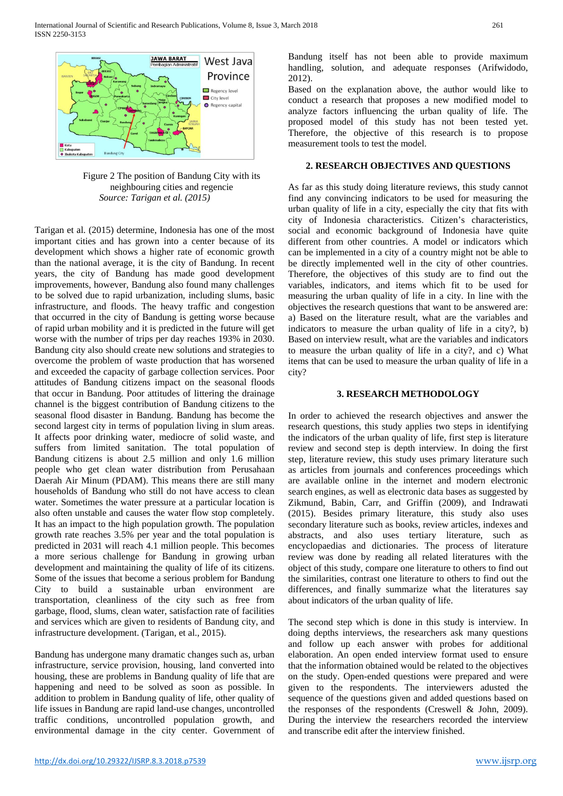

Figure 2 The position of Bandung City with its neighbouring cities and regencie *Source: Tarigan et al. (2015)*

Tarigan et al. (2015) determine, Indonesia has one of the most important cities and has grown into a center because of its development which shows a higher rate of economic growth than the national average, it is the city of Bandung. In recent years, the city of Bandung has made good development improvements, however, Bandung also found many challenges to be solved due to rapid urbanization, including slums, basic infrastructure, and floods. The heavy traffic and congestion that occurred in the city of Bandung is getting worse because of rapid urban mobility and it is predicted in the future will get worse with the number of trips per day reaches 193% in 2030. Bandung city also should create new solutions and strategies to overcome the problem of waste production that has worsened and exceeded the capacity of garbage collection services. Poor attitudes of Bandung citizens impact on the seasonal floods that occur in Bandung. Poor attitudes of littering the drainage channel is the biggest contribution of Bandung citizens to the seasonal flood disaster in Bandung. Bandung has become the second largest city in terms of population living in slum areas. It affects poor drinking water, mediocre of solid waste, and suffers from limited sanitation. The total population of Bandung citizens is about 2.5 million and only 1.6 million people who get clean water distribution from Perusahaan Daerah Air Minum (PDAM). This means there are still many households of Bandung who still do not have access to clean water. Sometimes the water pressure at a particular location is also often unstable and causes the water flow stop completely. It has an impact to the high population growth. The population growth rate reaches 3.5% per year and the total population is predicted in 2031 will reach 4.1 million people. This becomes a more serious challenge for Bandung in growing urban development and maintaining the quality of life of its citizens. Some of the issues that become a serious problem for Bandung City to build a sustainable urban environment are transportation, cleanliness of the city such as free from garbage, flood, slums, clean water, satisfaction rate of facilities and services which are given to residents of Bandung city, and infrastructure development. (Tarigan, et al., 2015).

Bandung has undergone many dramatic changes such as, urban infrastructure, service provision, housing, land converted into housing, these are problems in Bandung quality of life that are happening and need to be solved as soon as possible. In addition to problem in Bandung quality of life, other quality of life issues in Bandung are rapid land-use changes, uncontrolled traffic conditions, uncontrolled population growth, and environmental damage in the city center. Government of Bandung itself has not been able to provide maximum handling, solution, and adequate responses (Arifwidodo, 2012).

Based on the explanation above, the author would like to conduct a research that proposes a new modified model to analyze factors influencing the urban quality of life. The proposed model of this study has not been tested yet. Therefore, the objective of this research is to propose measurement tools to test the model.

### **2. RESEARCH OBJECTIVES AND QUESTIONS**

As far as this study doing literature reviews, this study cannot find any convincing indicators to be used for measuring the urban quality of life in a city, especially the city that fits with city of Indonesia characteristics. Citizen's characteristics, social and economic background of Indonesia have quite different from other countries. A model or indicators which can be implemented in a city of a country might not be able to be directly implemented well in the city of other countries. Therefore, the objectives of this study are to find out the variables, indicators, and items which fit to be used for measuring the urban quality of life in a city. In line with the objectives the research questions that want to be answered are: a) Based on the literature result, what are the variables and indicators to measure the urban quality of life in a city?, b) Based on interview result, what are the variables and indicators to measure the urban quality of life in a city?, and c) What items that can be used to measure the urban quality of life in a city?

#### **3. RESEARCH METHODOLOGY**

In order to achieved the research objectives and answer the research questions, this study applies two steps in identifying the indicators of the urban quality of life, first step is literature review and second step is depth interview. In doing the first step, literature review, this study uses primary literature such as articles from journals and conferences proceedings which are available online in the internet and modern electronic search engines, as well as electronic data bases as suggested by Zikmund, Babin, Carr, and Griffin (2009), and Indrawati (2015). Besides primary literature, this study also uses secondary literature such as books, review articles, indexes and abstracts, and also uses tertiary literature, such as encyclopaedias and dictionaries. The process of literature review was done by reading all related literatures with the object of this study, compare one literature to others to find out the similarities, contrast one literature to others to find out the differences, and finally summarize what the literatures say about indicators of the urban quality of life.

The second step which is done in this study is interview. In doing depths interviews, the researchers ask many questions and follow up each answer with probes for additional elaboration. An open ended interview format used to ensure that the information obtained would be related to the objectives on the study. Open-ended questions were prepared and were given to the respondents. The interviewers adusted the sequence of the questions given and added questions based on the responses of the respondents (Creswell & John, 2009). During the interview the researchers recorded the interview and transcribe edit after the interview finished.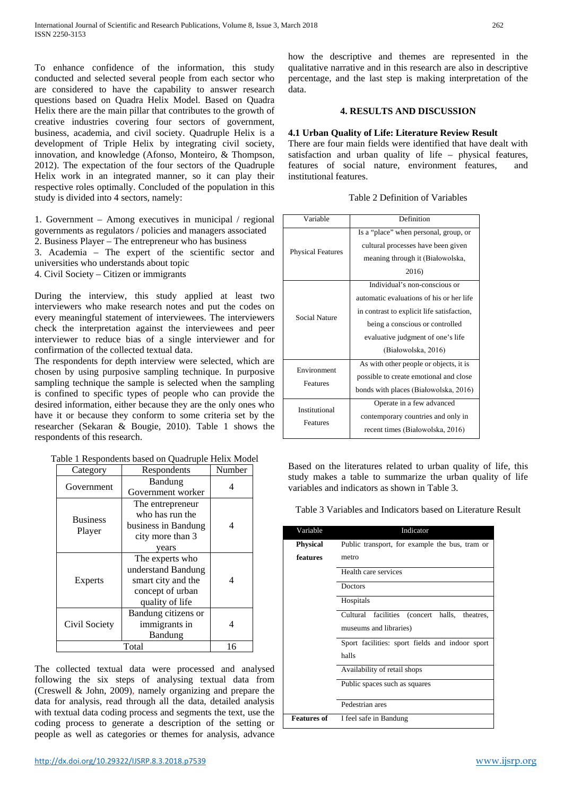To enhance confidence of the information, this study conducted and selected several people from each sector who are considered to have the capability to answer research questions based on Quadra Helix Model. Based on Quadra Helix there are the main pillar that contributes to the growth of creative industries covering four sectors of government, business, academia, and civil society. Quadruple Helix is a development of Triple Helix by integrating civil society, innovation, and knowledge (Afonso, Monteiro, & Thompson, 2012). The expectation of the four sectors of the Quadruple Helix work in an integrated manner, so it can play their respective roles optimally. Concluded of the population in this study is divided into 4 sectors, namely:

1. Government – Among executives in municipal / regional governments as regulators / policies and managers associated

2. Business Player – The entrepreneur who has business

3. Academia – The expert of the scientific sector and universities who understands about topic

4. Civil Society – Citizen or immigrants

During the interview, this study applied at least two interviewers who make research notes and put the codes on every meaningful statement of interviewees. The interviewers check the interpretation against the interviewees and peer interviewer to reduce bias of a single interviewer and for confirmation of the collected textual data.

The respondents for depth interview were selected, which are chosen by using purposive sampling technique. In purposive sampling technique the sample is selected when the sampling is confined to specific types of people who can provide the desired information, either because they are the only ones who have it or because they conform to some criteria set by the researcher (Sekaran & Bougie, 2010). Table 1 shows the respondents of this research.

Table 1 Respondents based on Quadruple Helix Model

| Category        | Respondents         | Number |  |
|-----------------|---------------------|--------|--|
| Government      | Bandung             |        |  |
|                 | Government worker   |        |  |
|                 | The entrepreneur    |        |  |
| <b>Business</b> | who has run the     |        |  |
|                 | business in Bandung | 4      |  |
| Player          | city more than 3    |        |  |
|                 | years               |        |  |
|                 | The experts who     |        |  |
|                 | understand Bandung  |        |  |
| Experts         | smart city and the  | 4      |  |
|                 | concept of urban    |        |  |
|                 | quality of life     |        |  |
| Civil Society   | Bandung citizens or |        |  |
|                 | immigrants in       |        |  |
|                 | Bandung             |        |  |
| Total           |                     | 16     |  |

The collected textual data were processed and analysed following the six steps of analysing textual data from (Creswell & John, 2009), namely organizing and prepare the data for analysis, read through all the data, detailed analysis with textual data coding process and segments the text, use the coding process to generate a description of the setting or people as well as categories or themes for analysis, advance

how the descriptive and themes are represented in the qualitative narrative and in this research are also in descriptive percentage, and the last step is making interpretation of the data.

#### **4. RESULTS AND DISCUSSION**

#### **4.1 Urban Quality of Life: Literature Review Result**

There are four main fields were identified that have dealt with satisfaction and urban quality of life – physical features, features of social nature, environment features, and institutional features.

| Variable                  | Definition                                 |  |
|---------------------------|--------------------------------------------|--|
|                           | Is a "place" when personal, group, or      |  |
| <b>Physical Features</b>  | cultural processes have been given         |  |
|                           | meaning through it (Białowolska,           |  |
|                           | 2016)                                      |  |
|                           | Individual's non-conscious or              |  |
|                           | automatic evaluations of his or her life   |  |
| Social Nature             | in contrast to explicit life satisfaction, |  |
|                           | being a conscious or controlled            |  |
|                           | evaluative judgment of one's life          |  |
|                           | (Białowolska, 2016)                        |  |
| Environment               | As with other people or objects, it is     |  |
| Features                  | possible to create emotional and close     |  |
|                           | bonds with places (Białowolska, 2016)      |  |
| Institutional<br>Features | Operate in a few advanced                  |  |
|                           | contemporary countries and only in         |  |
|                           | recent times (Białowolska, 2016)           |  |

Based on the literatures related to urban quality of life, this study makes a table to summarize the urban quality of life variables and indicators as shown in Table 3.

Table 3 Variables and Indicators based on Literature Result

| Variable           | Indicator                                        |  |
|--------------------|--------------------------------------------------|--|
| Physical           | Public transport, for example the bus, tram or   |  |
| features           | metro                                            |  |
|                    | Health care services                             |  |
|                    | Doctors                                          |  |
|                    | Hospitals                                        |  |
|                    | Cultural facilities (concert<br>halls, theatres, |  |
|                    | museums and libraries)                           |  |
|                    | Sport facilities: sport fields and indoor sport  |  |
|                    | halls                                            |  |
|                    | Availability of retail shops                     |  |
|                    | Public spaces such as squares                    |  |
|                    | Pedestrian ares                                  |  |
|                    |                                                  |  |
| <b>Features of</b> | I feel safe in Bandung                           |  |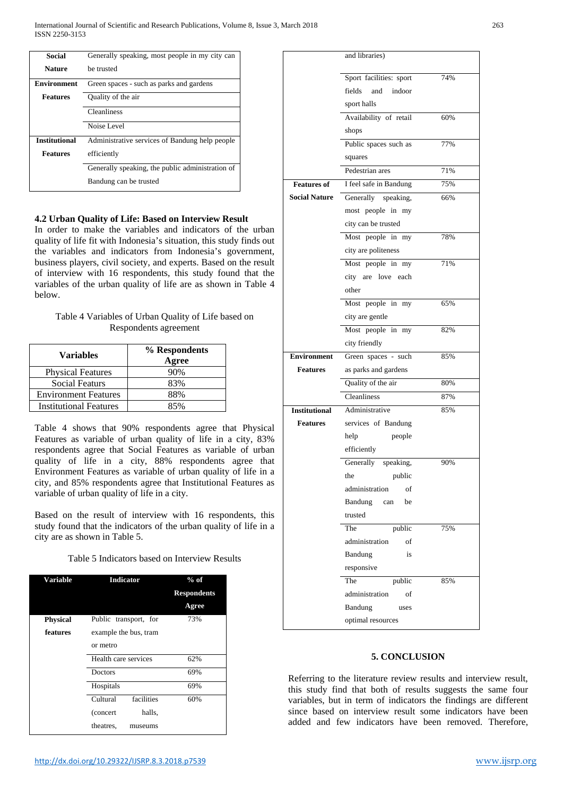| Social               | Generally speaking, most people in my city can   |  |
|----------------------|--------------------------------------------------|--|
| <b>Nature</b>        | be trusted                                       |  |
| Environment          | Green spaces - such as parks and gardens         |  |
| <b>Features</b>      | Quality of the air                               |  |
|                      | <b>Cleanliness</b>                               |  |
|                      | Noise Level                                      |  |
| <b>Institutional</b> | Administrative services of Bandung help people   |  |
| <b>Features</b>      | efficiently                                      |  |
|                      | Generally speaking, the public administration of |  |
|                      | Bandung can be trusted                           |  |

## **4.2 Urban Quality of Life: Based on Interview Result**

In order to make the variables and indicators of the urban quality of life fit with Indonesia's situation, this study finds out the variables and indicators from Indonesia's government, business players, civil society, and experts. Based on the result of interview with 16 respondents, this study found that the variables of the urban quality of life are as shown in Table 4 below.

| Table 4 Variables of Urban Quality of Life based on |
|-----------------------------------------------------|
| Respondents agreement                               |

| Variables                     | % Respondents<br>Agree |
|-------------------------------|------------------------|
| <b>Physical Features</b>      | 90%                    |
| <b>Social Featurs</b>         | 83%                    |
| <b>Environment Features</b>   | 88%                    |
| <b>Institutional Features</b> | 85%                    |

Table 4 shows that 90% respondents agree that Physical Features as variable of urban quality of life in a city, 83% respondents agree that Social Features as variable of urban quality of life in a city, 88% respondents agree that Environment Features as variable of urban quality of life in a city, and 85% respondents agree that Institutional Features as variable of urban quality of life in a city.

Based on the result of interview with 16 respondents, this study found that the indicators of the urban quality of life in a city are as shown in Table 5.

|  |  |  | Table 5 Indicators based on Interview Results |
|--|--|--|-----------------------------------------------|
|--|--|--|-----------------------------------------------|

| <b>Variable</b> | <b>Indicator</b>                  | $%$ of<br><b>Respondents</b><br>Agree |
|-----------------|-----------------------------------|---------------------------------------|
| Physical        | Public transport, for             | 73%                                   |
| features        | example the bus, tram<br>or metro |                                       |
|                 | Health care services              | 62%                                   |
|                 | Doctors                           | 69%                                   |
|                 | Hospitals                         | 69%                                   |
|                 | facilities<br>Cultural            | 60%                                   |
|                 | halls,<br>(concert)               |                                       |
|                 | theatres,<br>museums              |                                       |

|                      | and libraries)          |     |
|----------------------|-------------------------|-----|
|                      | Sport facilities: sport | 74% |
|                      | fields<br>and<br>indoor |     |
|                      | sport halls             |     |
|                      | Availability of retail  | 60% |
|                      | shops                   |     |
|                      | Public spaces such as   | 77% |
|                      | squares                 |     |
|                      | Pedestrian ares         | 71% |
| <b>Features of</b>   | I feel safe in Bandung  | 75% |
| <b>Social Nature</b> | Generally speaking,     | 66% |
|                      | most people in my       |     |
|                      | city can be trusted     |     |
|                      | Most people in my       | 78% |
|                      | city are politeness     |     |
|                      | Most people in my       | 71% |
|                      | city are love each      |     |
|                      | other                   |     |
|                      | Most people in my       | 65% |
|                      | city are gentle         |     |
|                      | Most people in my       | 82% |
|                      | city friendly           |     |
| <b>Environment</b>   | Green spaces - such     | 85% |
| <b>Features</b>      | as parks and gardens    |     |
|                      | Quality of the air      | 80% |
|                      | Cleanliness             | 87% |
| <b>Institutional</b> | Administrative          | 85% |
| <b>Features</b>      | services of Bandung     |     |
|                      | help<br>people          |     |
|                      | efficiently             |     |
|                      | Generally<br>speaking,  | 90% |
|                      | public<br>the           |     |
|                      | administration<br>of    |     |
|                      | Bandung<br>be<br>can    |     |
|                      | trusted                 |     |
|                      | The<br>public           | 75% |
|                      | administration<br>of    |     |
|                      | Bandung<br>is           |     |
|                      | responsive              |     |
|                      | The<br>public           | 85% |
|                      | administration<br>of    |     |
|                      | Bandung<br>uses         |     |
|                      | optimal resources       |     |

#### **5. CONCLUSION**

Referring to the literature review results and interview result, this study find that both of results suggests the same four variables, but in term of indicators the findings are different since based on interview result some indicators have been added and few indicators have been removed. Therefore,